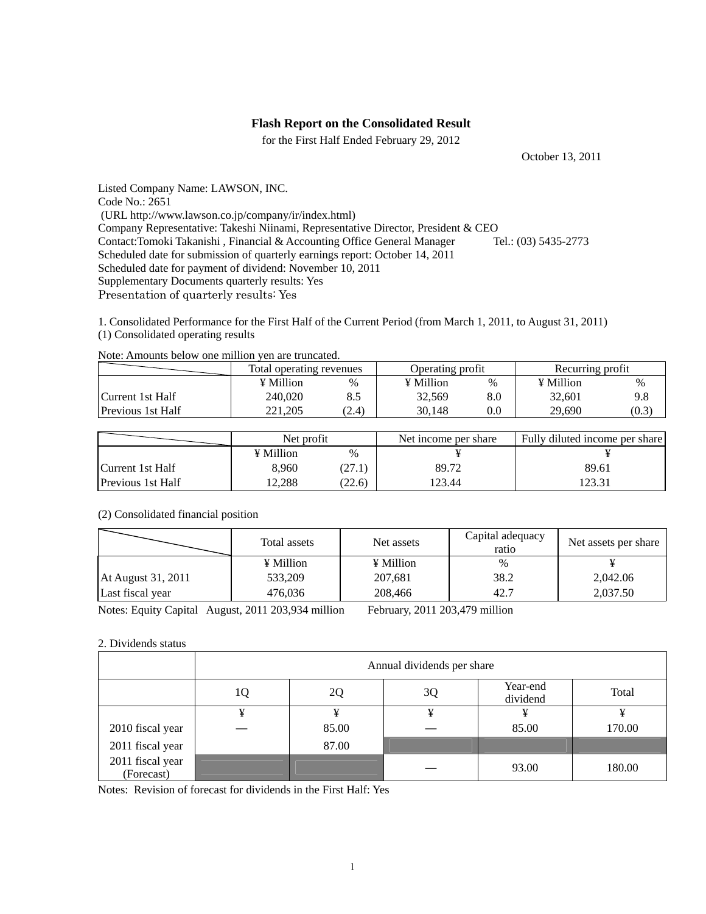# **Flash Report on the Consolidated Result**

for the First Half Ended February 29, 2012

October 13, 2011

Listed Company Name: LAWSON, INC. Code No.: 2651 (URL http://www.lawson.co.jp/company/ir/index.html) Company Representative: Takeshi Niinami, Representative Director, President & CEO Contact:Tomoki Takanishi , Financial & Accounting Office General Manager Tel.: (03) 5435-2773 Scheduled date for submission of quarterly earnings report: October 14, 2011 Scheduled date for payment of dividend: November 10, 2011 Supplementary Documents quarterly results: Yes Presentation of quarterly results: Yes

1. Consolidated Performance for the First Half of the Current Period (from March 1, 2011, to August 31, 2011) (1) Consolidated operating results

|                          | Total operating revenues |       | Operating profit |      | Recurring profit |       |
|--------------------------|--------------------------|-------|------------------|------|------------------|-------|
|                          | ¥ Million                | %     | ¥ Million        | $\%$ | $\angle$ Million | $\%$  |
| Current 1st Half         | 240.020                  | 8.5   | 32.569           | 8.0  | 32.601           | 9.8   |
| <b>Previous 1st Half</b> | 221.205                  | (2.4) | 30.148           | 0.0  | 29,690           | (0.3) |

Note: Amounts below one million yen are truncated.

|                          | Net profit |        | Net income per share | Fully diluted income per share |  |
|--------------------------|------------|--------|----------------------|--------------------------------|--|
|                          | ¥ Million  | $\%$   |                      |                                |  |
| Current 1st Half         | 8.960      | 27.1   | 89.72                | 89.61                          |  |
| <b>Previous 1st Half</b> | 12.288     | (22.6) | 123.44               | 123.31                         |  |

## (2) Consolidated financial position

|                    | Total assets | Net assets | Capital adequacy<br>ratio | Net assets per share |
|--------------------|--------------|------------|---------------------------|----------------------|
|                    | ¥ Million    | ¥ Million  | %                         |                      |
| At August 31, 2011 | 533,209      | 207,681    | 38.2                      | 2,042.06             |
| Last fiscal year   | 476.036      | 208,466    | 42.7                      | 2,037.50             |
|                    |              |            |                           |                      |

Notes: Equity Capital August, 2011 203,934 million February, 2011 203,479 million

## 2. Dividends status

|                                | Annual dividends per share |       |    |                      |        |  |
|--------------------------------|----------------------------|-------|----|----------------------|--------|--|
|                                | 1Q                         | 2Q    | 3Q | Year-end<br>dividend | Total  |  |
|                                | ¥                          |       | ¥  | ¥                    |        |  |
| 2010 fiscal year               |                            | 85.00 |    | 85.00                | 170.00 |  |
| 2011 fiscal year               |                            | 87.00 |    |                      |        |  |
| 2011 fiscal year<br>(Forecast) |                            |       |    | 93.00                | 180.00 |  |

Notes: Revision of forecast for dividends in the First Half: Yes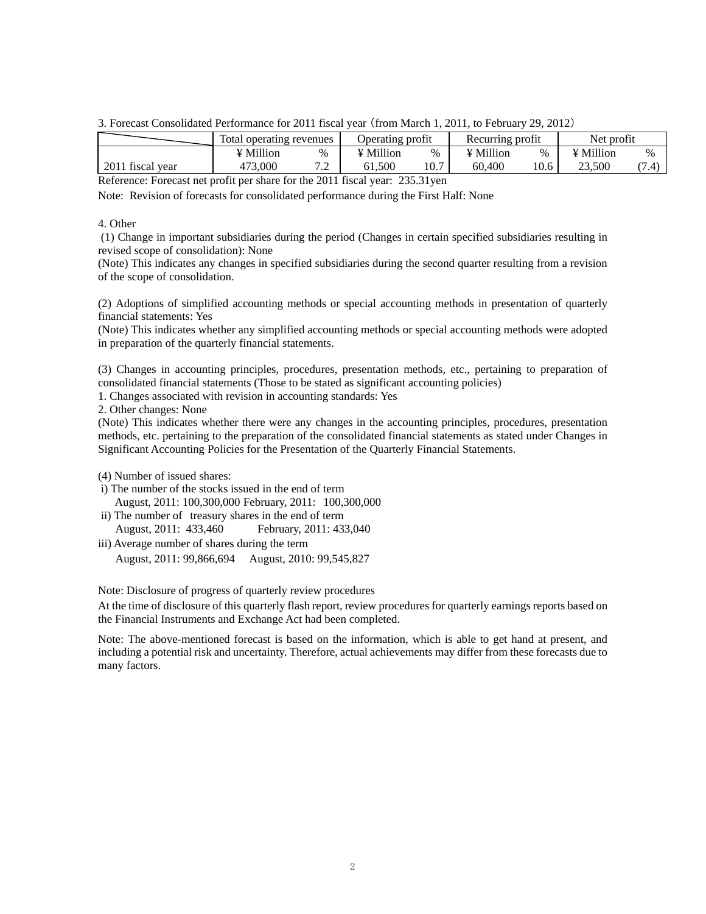3. Forecast Consolidated Performance for 2011 fiscal year (from March 1, 2011, to February 29, 2012)

|                  | Total operating revenues |                                 | Operating profit |      | Recurring profit |      | Net profit |      |
|------------------|--------------------------|---------------------------------|------------------|------|------------------|------|------------|------|
|                  | ¥ Million                | $\%$                            | ¥ Million        | %    | ¥ Million        | $\%$ | ¥ Million  | $\%$ |
| 2011 fiscal vear | 473.000                  | ¬ ⌒<br>$\overline{\phantom{0}}$ | 61.500           | 10.7 | 60.400           | 10.6 | 23.500     |      |

Reference: Forecast net profit per share for the 2011 fiscal year: 235.31yen

Note: Revision of forecasts for consolidated performance during the First Half: None

#### 4. Other

 (1) Change in important subsidiaries during the period (Changes in certain specified subsidiaries resulting in revised scope of consolidation): None

(Note) This indicates any changes in specified subsidiaries during the second quarter resulting from a revision of the scope of consolidation.

(2) Adoptions of simplified accounting methods or special accounting methods in presentation of quarterly financial statements: Yes

(Note) This indicates whether any simplified accounting methods or special accounting methods were adopted in preparation of the quarterly financial statements.

(3) Changes in accounting principles, procedures, presentation methods, etc., pertaining to preparation of consolidated financial statements (Those to be stated as significant accounting policies)

1. Changes associated with revision in accounting standards: Yes

2. Other changes: None

(Note) This indicates whether there were any changes in the accounting principles, procedures, presentation methods, etc. pertaining to the preparation of the consolidated financial statements as stated under Changes in Significant Accounting Policies for the Presentation of the Quarterly Financial Statements.

(4) Number of issued shares:

- i) The number of the stocks issued in the end of term August, 2011: 100,300,000 February, 2011: 100,300,000
- ii) The number of treasury shares in the end of term August, 2011: 433,460 February, 2011: 433,040
- iii) Average number of shares during the term August, 2011: 99,866,694 August, 2010: 99,545,827

Note: Disclosure of progress of quarterly review procedures

At the time of disclosure of this quarterly flash report, review procedures for quarterly earnings reports based on the Financial Instruments and Exchange Act had been completed.

Note: The above-mentioned forecast is based on the information, which is able to get hand at present, and including a potential risk and uncertainty. Therefore, actual achievements may differ from these forecasts due to many factors.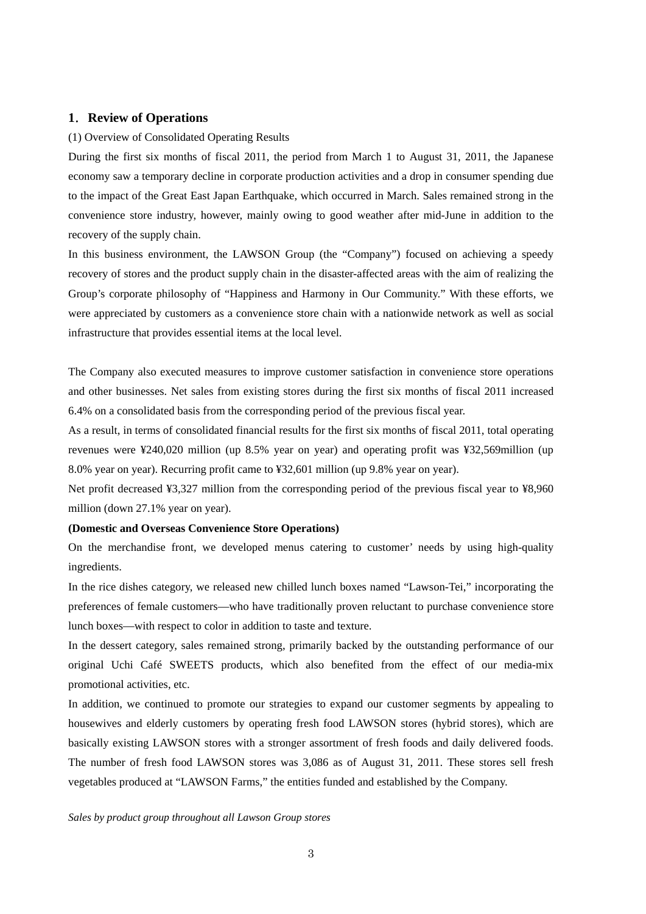# **1**.**Review of Operations**

#### (1) Overview of Consolidated Operating Results

During the first six months of fiscal 2011, the period from March 1 to August 31, 2011, the Japanese economy saw a temporary decline in corporate production activities and a drop in consumer spending due to the impact of the Great East Japan Earthquake, which occurred in March. Sales remained strong in the convenience store industry, however, mainly owing to good weather after mid-June in addition to the recovery of the supply chain.

In this business environment, the LAWSON Group (the "Company") focused on achieving a speedy recovery of stores and the product supply chain in the disaster-affected areas with the aim of realizing the Group's corporate philosophy of "Happiness and Harmony in Our Community." With these efforts, we were appreciated by customers as a convenience store chain with a nationwide network as well as social infrastructure that provides essential items at the local level.

The Company also executed measures to improve customer satisfaction in convenience store operations and other businesses. Net sales from existing stores during the first six months of fiscal 2011 increased 6.4% on a consolidated basis from the corresponding period of the previous fiscal year.

As a result, in terms of consolidated financial results for the first six months of fiscal 2011, total operating revenues were ¥240,020 million (up 8.5% year on year) and operating profit was ¥32,569million (up 8.0% year on year). Recurring profit came to ¥32,601 million (up 9.8% year on year).

Net profit decreased ¥3,327 million from the corresponding period of the previous fiscal year to ¥8,960 million (down 27.1% year on year).

## **(Domestic and Overseas Convenience Store Operations)**

On the merchandise front, we developed menus catering to customer' needs by using high-quality ingredients.

In the rice dishes category, we released new chilled lunch boxes named "Lawson-Tei," incorporating the preferences of female customers—who have traditionally proven reluctant to purchase convenience store lunch boxes—with respect to color in addition to taste and texture.

In the dessert category, sales remained strong, primarily backed by the outstanding performance of our original Uchi Café SWEETS products, which also benefited from the effect of our media-mix promotional activities, etc.

In addition, we continued to promote our strategies to expand our customer segments by appealing to housewives and elderly customers by operating fresh food LAWSON stores (hybrid stores), which are basically existing LAWSON stores with a stronger assortment of fresh foods and daily delivered foods. The number of fresh food LAWSON stores was 3,086 as of August 31, 2011. These stores sell fresh vegetables produced at "LAWSON Farms," the entities funded and established by the Company.

#### *Sales by product group throughout all Lawson Group stores*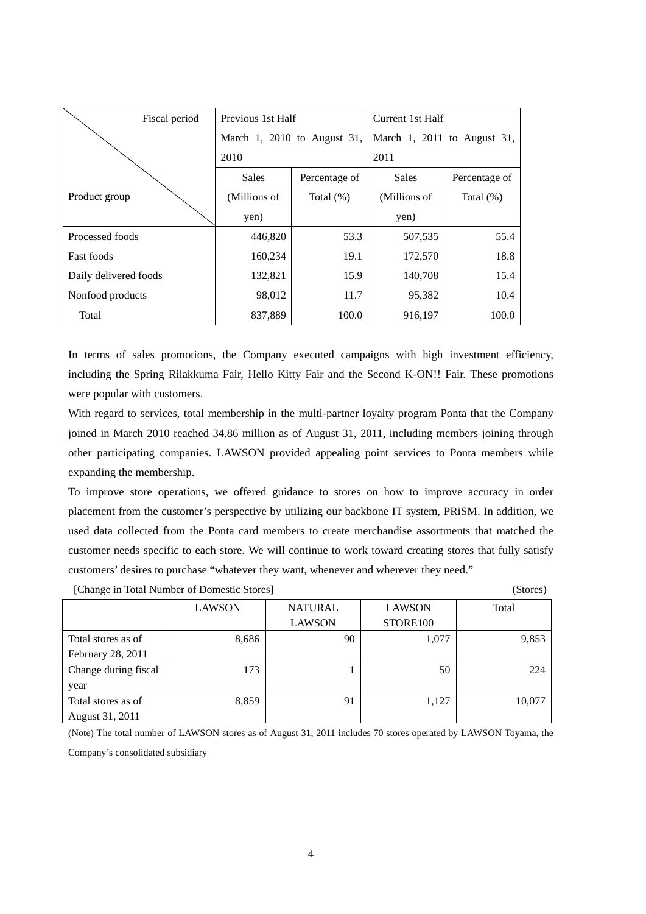| Fiscal period         | Previous 1st Half |                             | Current 1st Half            |               |  |
|-----------------------|-------------------|-----------------------------|-----------------------------|---------------|--|
|                       |                   | March 1, 2010 to August 31, | March 1, 2011 to August 31, |               |  |
|                       | 2010              |                             | 2011                        |               |  |
|                       | <b>Sales</b>      | Percentage of               | <b>Sales</b>                | Percentage of |  |
| Product group         | (Millions of      | Total $(\%)$                | (Millions of                | Total $(\%)$  |  |
|                       | yen)              |                             | yen)                        |               |  |
| Processed foods       | 446,820           | 53.3                        | 507,535                     | 55.4          |  |
| <b>Fast foods</b>     | 160,234           | 19.1                        | 172,570                     | 18.8          |  |
| Daily delivered foods | 132,821           | 15.9                        | 140,708                     | 15.4          |  |
| Nonfood products      | 98,012            | 11.7                        | 95,382                      | 10.4          |  |
| Total                 | 837,889           | 100.0                       | 916,197                     | 100.0         |  |

In terms of sales promotions, the Company executed campaigns with high investment efficiency, including the Spring Rilakkuma Fair, Hello Kitty Fair and the Second K-ON!! Fair. These promotions were popular with customers.

With regard to services, total membership in the multi-partner loyalty program Ponta that the Company joined in March 2010 reached 34.86 million as of August 31, 2011, including members joining through other participating companies. LAWSON provided appealing point services to Ponta members while expanding the membership.

To improve store operations, we offered guidance to stores on how to improve accuracy in order placement from the customer's perspective by utilizing our backbone IT system, PRiSM. In addition, we used data collected from the Ponta card members to create merchandise assortments that matched the customer needs specific to each store. We will continue to work toward creating stores that fully satisfy customers' desires to purchase "whatever they want, whenever and wherever they need."

| [Change in Total Number of Domestic Stores] |               |                |               |        |  |  |
|---------------------------------------------|---------------|----------------|---------------|--------|--|--|
|                                             | <b>LAWSON</b> | <b>NATURAL</b> | <b>LAWSON</b> | Total  |  |  |
|                                             |               | <b>LAWSON</b>  | STORE100      |        |  |  |
| Total stores as of                          | 8,686         | 90             | 1,077         | 9,853  |  |  |
| February 28, 2011                           |               |                |               |        |  |  |
| Change during fiscal                        | 173           |                | 50            | 224    |  |  |
| year                                        |               |                |               |        |  |  |
| Total stores as of                          | 8,859         | 91             | 1,127         | 10,077 |  |  |
| August 31, 2011                             |               |                |               |        |  |  |

(Note) The total number of LAWSON stores as of August 31, 2011 includes 70 stores operated by LAWSON Toyama, the Company's consolidated subsidiary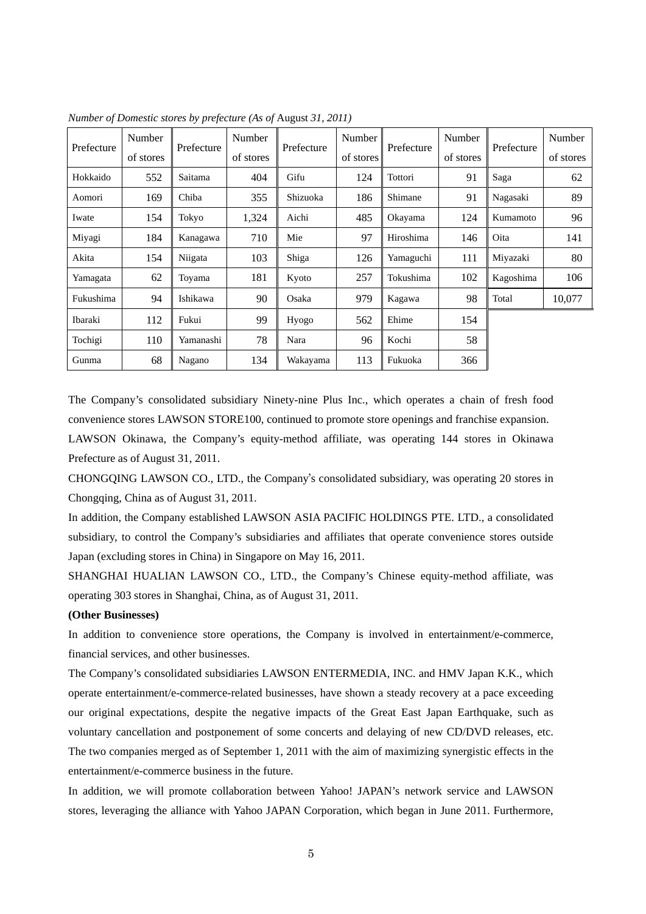| Prefecture | Number    | Prefecture | Number    | Prefecture | Number    | Prefecture | Number    | Prefecture | Number    |
|------------|-----------|------------|-----------|------------|-----------|------------|-----------|------------|-----------|
|            | of stores |            | of stores |            | of stores |            | of stores |            | of stores |
| Hokkaido   | 552       | Saitama    | 404       | Gifu       | 124       | Tottori    | 91        | Saga       | 62        |
| Aomori     | 169       | Chiba      | 355       | Shizuoka   | 186       | Shimane    | 91        | Nagasaki   | 89        |
| Iwate      | 154       | Tokyo      | 1,324     | Aichi      | 485       | Okayama    | 124       | Kumamoto   | 96        |
| Miyagi     | 184       | Kanagawa   | 710       | Mie        | 97        | Hiroshima  | 146       | Oita       | 141       |
| Akita      | 154       | Niigata    | 103       | Shiga      | 126       | Yamaguchi  | 111       | Miyazaki   | 80        |
| Yamagata   | 62        | Toyama     | 181       | Kyoto      | 257       | Tokushima  | 102       | Kagoshima  | 106       |
| Fukushima  | 94        | Ishikawa   | 90        | Osaka      | 979       | Kagawa     | 98        | Total      | 10,077    |
| Ibaraki    | 112       | Fukui      | 99        | Hyogo      | 562       | Ehime      | 154       |            |           |
| Tochigi    | 110       | Yamanashi  | 78        | Nara       | 96        | Kochi      | 58        |            |           |
| Gunma      | 68        | Nagano     | 134       | Wakayama   | 113       | Fukuoka    | 366       |            |           |

*Number of Domestic stores by prefecture (As of* August *31, 2011)* 

The Company's consolidated subsidiary Ninety-nine Plus Inc., which operates a chain of fresh food convenience stores LAWSON STORE100, continued to promote store openings and franchise expansion.

LAWSON Okinawa, the Company's equity-method affiliate, was operating 144 stores in Okinawa Prefecture as of August 31, 2011.

CHONGQING LAWSON CO., LTD., the Company's consolidated subsidiary, was operating 20 stores in Chongqing, China as of August 31, 2011.

In addition, the Company established LAWSON ASIA PACIFIC HOLDINGS PTE. LTD., a consolidated subsidiary, to control the Company's subsidiaries and affiliates that operate convenience stores outside Japan (excluding stores in China) in Singapore on May 16, 2011.

SHANGHAI HUALIAN LAWSON CO., LTD., the Company's Chinese equity-method affiliate, was operating 303 stores in Shanghai, China, as of August 31, 2011.

### **(Other Businesses)**

In addition to convenience store operations, the Company is involved in entertainment/e-commerce, financial services, and other businesses.

The Company's consolidated subsidiaries LAWSON ENTERMEDIA, INC. and HMV Japan K.K., which operate entertainment/e-commerce-related businesses, have shown a steady recovery at a pace exceeding our original expectations, despite the negative impacts of the Great East Japan Earthquake, such as voluntary cancellation and postponement of some concerts and delaying of new CD/DVD releases, etc. The two companies merged as of September 1, 2011 with the aim of maximizing synergistic effects in the entertainment/e-commerce business in the future.

In addition, we will promote collaboration between Yahoo! JAPAN's network service and LAWSON stores, leveraging the alliance with Yahoo JAPAN Corporation, which began in June 2011. Furthermore,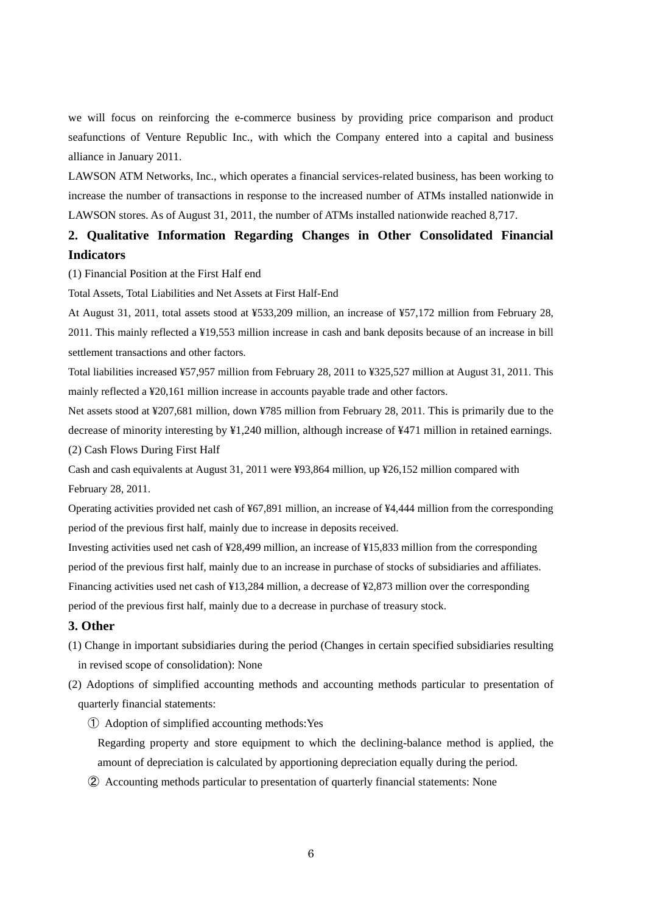we will focus on reinforcing the e-commerce business by providing price comparison and product seafunctions of Venture Republic Inc., with which the Company entered into a capital and business alliance in January 2011.

LAWSON ATM Networks, Inc., which operates a financial services-related business, has been working to increase the number of transactions in response to the increased number of ATMs installed nationwide in LAWSON stores. As of August 31, 2011, the number of ATMs installed nationwide reached 8,717.

# **2. Qualitative Information Regarding Changes in Other Consolidated Financial Indicators**

(1) Financial Position at the First Half end

Total Assets, Total Liabilities and Net Assets at First Half-End

At August 31, 2011, total assets stood at ¥533,209 million, an increase of ¥57,172 million from February 28, 2011. This mainly reflected a ¥19,553 million increase in cash and bank deposits because of an increase in bill settlement transactions and other factors.

Total liabilities increased ¥57,957 million from February 28, 2011 to ¥325,527 million at August 31, 2011. This mainly reflected a ¥20,161 million increase in accounts payable trade and other factors.

Net assets stood at ¥207,681 million, down ¥785 million from February 28, 2011. This is primarily due to the decrease of minority interesting by ¥1,240 million, although increase of ¥471 million in retained earnings. (2) Cash Flows During First Half

Cash and cash equivalents at August 31, 2011 were ¥93,864 million, up ¥26,152 million compared with February 28, 2011.

Operating activities provided net cash of ¥67,891 million, an increase of ¥4,444 million from the corresponding period of the previous first half, mainly due to increase in deposits received.

Investing activities used net cash of ¥28,499 million, an increase of ¥15,833 million from the corresponding period of the previous first half, mainly due to an increase in purchase of stocks of subsidiaries and affiliates. Financing activities used net cash of ¥13,284 million, a decrease of ¥2,873 million over the corresponding period of the previous first half, mainly due to a decrease in purchase of treasury stock.

#### **3. Other**

- (1) Change in important subsidiaries during the period (Changes in certain specified subsidiaries resulting in revised scope of consolidation): None
- (2) Adoptions of simplified accounting methods and accounting methods particular to presentation of quarterly financial statements:
	- ① Adoption of simplified accounting methods:Yes

Regarding property and store equipment to which the declining-balance method is applied, the amount of depreciation is calculated by apportioning depreciation equally during the period.

② Accounting methods particular to presentation of quarterly financial statements: None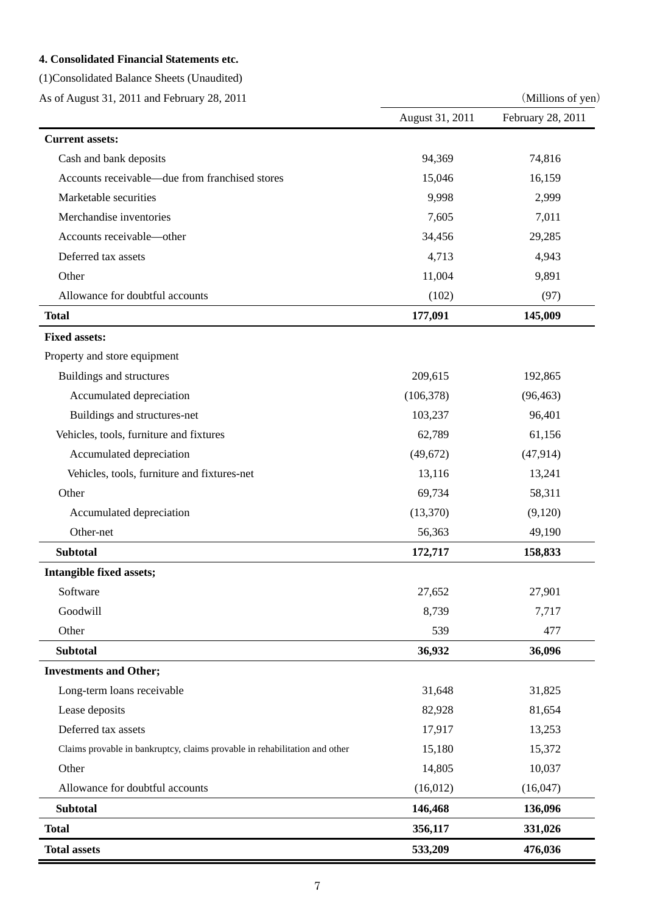# **4. Consolidated Financial Statements etc.**

(1)Consolidated Balance Sheets (Unaudited)

As of August 31, 2011 and February 28, 2011 (Millions of yen)

|                                                                            | August 31, 2011 | February 28, 2011 |
|----------------------------------------------------------------------------|-----------------|-------------------|
| <b>Current assets:</b>                                                     |                 |                   |
| Cash and bank deposits                                                     | 94,369          | 74,816            |
| Accounts receivable—due from franchised stores                             | 15,046          | 16,159            |
| Marketable securities                                                      | 9,998           | 2,999             |
| Merchandise inventories                                                    | 7,605           | 7,011             |
| Accounts receivable-other                                                  | 34,456          | 29,285            |
| Deferred tax assets                                                        | 4,713           | 4,943             |
| Other                                                                      | 11,004          | 9,891             |
| Allowance for doubtful accounts                                            | (102)           | (97)              |
| <b>Total</b>                                                               | 177,091         | 145,009           |
| <b>Fixed assets:</b>                                                       |                 |                   |
| Property and store equipment                                               |                 |                   |
| Buildings and structures                                                   | 209,615         | 192,865           |
| Accumulated depreciation                                                   | (106, 378)      | (96, 463)         |
| Buildings and structures-net                                               | 103,237         | 96,401            |
| Vehicles, tools, furniture and fixtures                                    | 62,789          | 61,156            |
| Accumulated depreciation                                                   | (49,672)        | (47, 914)         |
| Vehicles, tools, furniture and fixtures-net                                | 13,116          | 13,241            |
| Other                                                                      | 69,734          | 58,311            |
| Accumulated depreciation                                                   | (13,370)        | (9,120)           |
| Other-net                                                                  | 56,363          | 49,190            |
| <b>Subtotal</b>                                                            | 172,717         | 158,833           |
| Intangible fixed assets;                                                   |                 |                   |
| Software                                                                   | 27,652          | 27,901            |
| Goodwill                                                                   | 8,739           | 7,717             |
| Other                                                                      | 539             | 477               |
| <b>Subtotal</b>                                                            | 36,932          | 36,096            |
| <b>Investments and Other;</b>                                              |                 |                   |
| Long-term loans receivable                                                 | 31,648          | 31,825            |
| Lease deposits                                                             | 82,928          | 81,654            |
| Deferred tax assets                                                        | 17,917          | 13,253            |
| Claims provable in bankruptcy, claims provable in rehabilitation and other | 15,180          | 15,372            |
| Other                                                                      | 14,805          | 10,037            |
| Allowance for doubtful accounts                                            | (16, 012)       | (16,047)          |
| <b>Subtotal</b>                                                            | 146,468         | 136,096           |
| <b>Total</b>                                                               | 356,117         | 331,026           |
| <b>Total assets</b>                                                        | 533,209         | 476,036           |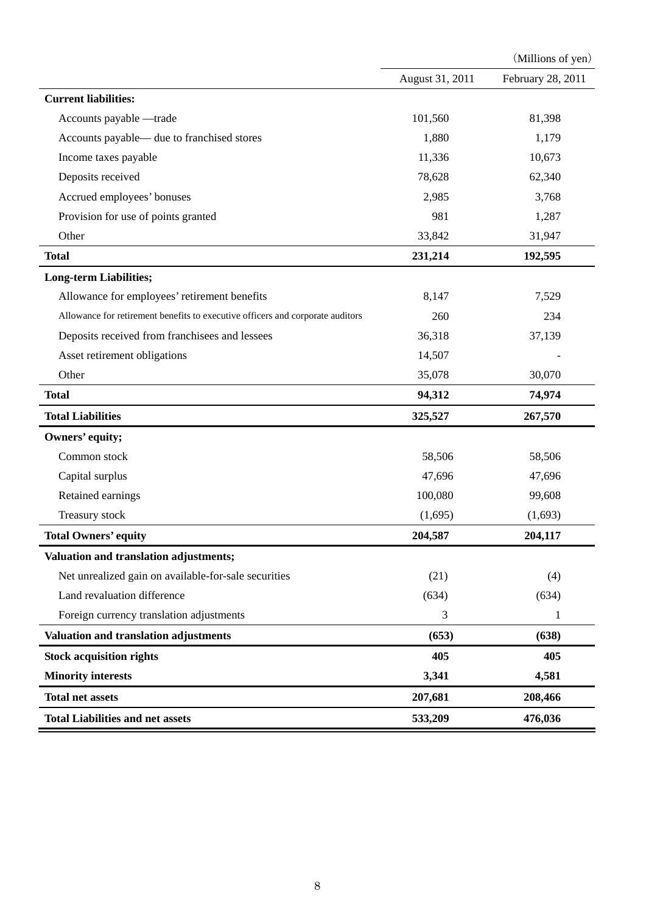|                                                                                |                 | (Millions of yen) |
|--------------------------------------------------------------------------------|-----------------|-------------------|
|                                                                                | August 31, 2011 | February 28, 2011 |
| <b>Current liabilities:</b>                                                    |                 |                   |
| Accounts payable -trade                                                        | 101,560         | 81,398            |
| Accounts payable— due to franchised stores                                     | 1,880           | 1,179             |
| Income taxes payable                                                           | 11,336          | 10,673            |
| Deposits received                                                              | 78,628          | 62,340            |
| Accrued employees' bonuses                                                     | 2,985           | 3,768             |
| Provision for use of points granted                                            | 981             | 1,287             |
| Other                                                                          | 33,842          | 31,947            |
| <b>Total</b>                                                                   | 231,214         | 192,595           |
| <b>Long-term Liabilities;</b>                                                  |                 |                   |
| Allowance for employees' retirement benefits                                   | 8,147           | 7,529             |
| Allowance for retirement benefits to executive officers and corporate auditors | 260             | 234               |
| Deposits received from franchisees and lessees                                 | 36,318          | 37,139            |
| Asset retirement obligations                                                   | 14,507          |                   |
| Other                                                                          | 35,078          | 30,070            |
| <b>Total</b>                                                                   | 94,312          | 74,974            |
| <b>Total Liabilities</b>                                                       | 325,527         | 267,570           |
| Owners' equity;                                                                |                 |                   |
| Common stock                                                                   | 58,506          | 58,506            |
| Capital surplus                                                                | 47,696          | 47,696            |
| Retained earnings                                                              | 100,080         | 99,608            |
| Treasury stock                                                                 | (1,695)         | (1,693)           |
| <b>Total Owners' equity</b>                                                    | 204,587         | 204,117           |
| <b>Valuation and translation adjustments;</b>                                  |                 |                   |
| Net unrealized gain on available-for-sale securities                           | (21)            | (4)               |
| Land revaluation difference                                                    | (634)           | (634)             |
| Foreign currency translation adjustments                                       | 3               | 1                 |
| Valuation and translation adjustments                                          | (653)           | (638)             |
| <b>Stock acquisition rights</b>                                                | 405             | 405               |
| <b>Minority interests</b>                                                      | 3,341           | 4,581             |
| <b>Total net assets</b>                                                        | 207,681         | 208,466           |
| <b>Total Liabilities and net assets</b>                                        | 533,209         | 476,036           |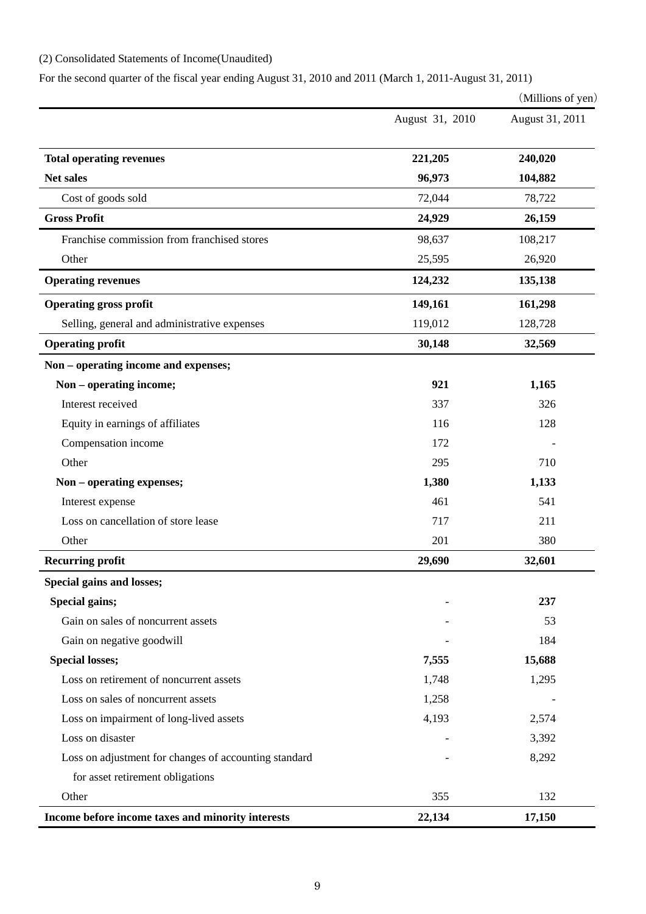# (2) Consolidated Statements of Income(Unaudited)

For the second quarter of the fiscal year ending August 31, 2010 and 2011 (March 1, 2011-August 31, 2011)

|                                                       |                 | (Millions of yen) |
|-------------------------------------------------------|-----------------|-------------------|
|                                                       | August 31, 2010 | August 31, 2011   |
| <b>Total operating revenues</b>                       | 221,205         | 240,020           |
| <b>Net sales</b>                                      | 96,973          | 104,882           |
| Cost of goods sold                                    | 72,044          | 78,722            |
| <b>Gross Profit</b>                                   | 24,929          | 26,159            |
| Franchise commission from franchised stores           | 98,637          | 108,217           |
| Other                                                 | 25,595          | 26,920            |
| <b>Operating revenues</b>                             | 124,232         | 135,138           |
| <b>Operating gross profit</b>                         | 149,161         | 161,298           |
| Selling, general and administrative expenses          | 119,012         | 128,728           |
| <b>Operating profit</b>                               | 30,148          | 32,569            |
| Non – operating income and expenses;                  |                 |                   |
| Non – operating income;                               | 921             | 1,165             |
| Interest received                                     | 337             | 326               |
| Equity in earnings of affiliates                      | 116             | 128               |
| Compensation income                                   | 172             |                   |
| Other                                                 | 295             | 710               |
| Non - operating expenses;                             | 1,380           | 1,133             |
| Interest expense                                      | 461             | 541               |
| Loss on cancellation of store lease                   | 717             | 211               |
| Other                                                 | 201             | 380               |
| <b>Recurring profit</b>                               | 29,690          | 32,601            |
| Special gains and losses;                             |                 |                   |
| Special gains;                                        |                 | 237               |
| Gain on sales of noncurrent assets                    |                 | 53                |
| Gain on negative goodwill                             |                 | 184               |
| <b>Special losses;</b>                                | 7,555           | 15,688            |
| Loss on retirement of noncurrent assets               | 1,748           | 1,295             |
| Loss on sales of noncurrent assets                    | 1,258           |                   |
| Loss on impairment of long-lived assets               | 4,193           | 2,574             |
| Loss on disaster                                      |                 | 3,392             |
| Loss on adjustment for changes of accounting standard |                 | 8,292             |
| for asset retirement obligations                      |                 |                   |
| Other                                                 | 355             | 132               |
| Income before income taxes and minority interests     | 22,134          | 17,150            |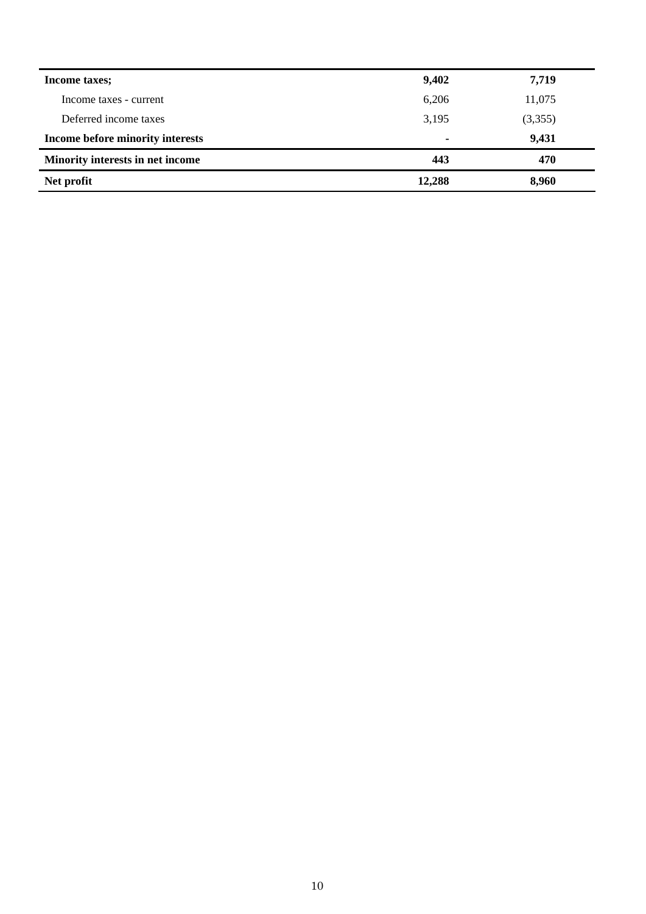| Income taxes;                    | 9,402  | 7,719   |
|----------------------------------|--------|---------|
| Income taxes - current           | 6,206  | 11,075  |
| Deferred income taxes            | 3,195  | (3,355) |
| Income before minority interests | ۰      | 9,431   |
| Minority interests in net income | 443    | 470     |
| Net profit                       | 12,288 | 8,960   |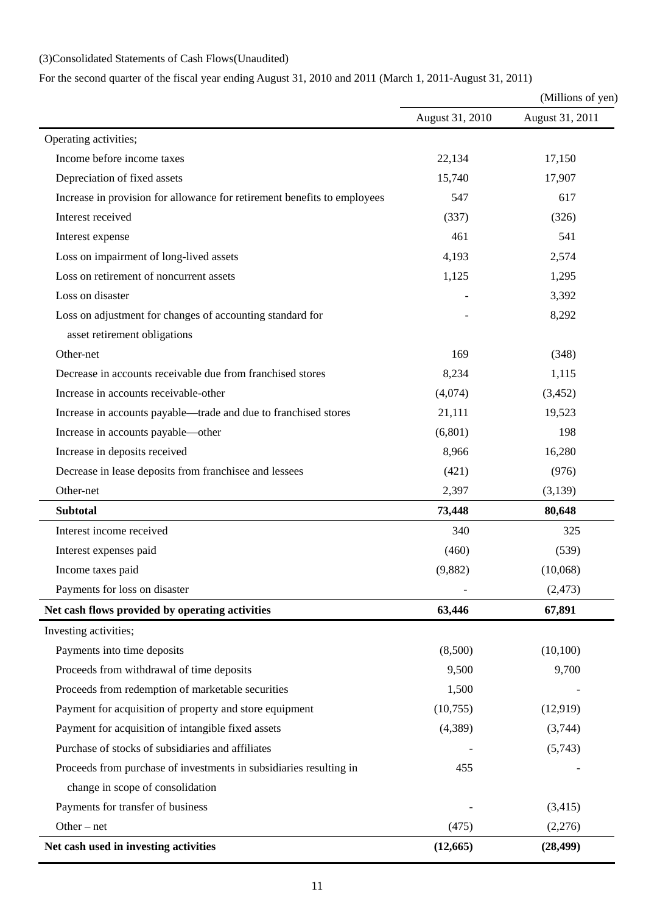# (3)Consolidated Statements of Cash Flows(Unaudited)

For the second quarter of the fiscal year ending August 31, 2010 and 2011 (March 1, 2011-August 31, 2011)

|                                                                          | (Millions of yen) |                 |  |
|--------------------------------------------------------------------------|-------------------|-----------------|--|
|                                                                          | August 31, 2010   | August 31, 2011 |  |
| Operating activities;                                                    |                   |                 |  |
| Income before income taxes                                               | 22,134            | 17,150          |  |
| Depreciation of fixed assets                                             | 15,740            | 17,907          |  |
| Increase in provision for allowance for retirement benefits to employees | 547               | 617             |  |
| Interest received                                                        | (337)             | (326)           |  |
| Interest expense                                                         | 461               | 541             |  |
| Loss on impairment of long-lived assets                                  | 4,193             | 2,574           |  |
| Loss on retirement of noncurrent assets                                  | 1,125             | 1,295           |  |
| Loss on disaster                                                         |                   | 3,392           |  |
| Loss on adjustment for changes of accounting standard for                |                   | 8,292           |  |
| asset retirement obligations                                             |                   |                 |  |
| Other-net                                                                | 169               | (348)           |  |
| Decrease in accounts receivable due from franchised stores               | 8,234             | 1,115           |  |
| Increase in accounts receivable-other                                    | (4,074)           | (3, 452)        |  |
| Increase in accounts payable—trade and due to franchised stores          | 21,111            | 19,523          |  |
| Increase in accounts payable—other                                       | (6,801)           | 198             |  |
| Increase in deposits received                                            | 8,966             | 16,280          |  |
| Decrease in lease deposits from franchisee and lessees                   | (421)             | (976)           |  |
| Other-net                                                                | 2,397             | (3,139)         |  |
| <b>Subtotal</b>                                                          | 73,448            | 80,648          |  |
| Interest income received                                                 | 340               | 325             |  |
| Interest expenses paid                                                   | (460)             | (539)           |  |
| Income taxes paid                                                        | (9,882)           | (10,068)        |  |
| Payments for loss on disaster                                            |                   | (2, 473)        |  |
| Net cash flows provided by operating activities                          | 63,446            | 67,891          |  |
| Investing activities;                                                    |                   |                 |  |
| Payments into time deposits                                              | (8,500)           | (10,100)        |  |
| Proceeds from withdrawal of time deposits                                | 9,500             | 9,700           |  |
| Proceeds from redemption of marketable securities                        | 1,500             |                 |  |
| Payment for acquisition of property and store equipment                  | (10,755)          | (12,919)        |  |
| Payment for acquisition of intangible fixed assets                       | (4,389)           | (3,744)         |  |
| Purchase of stocks of subsidiaries and affiliates                        |                   | (5,743)         |  |
| Proceeds from purchase of investments in subsidiaries resulting in       | 455               |                 |  |
| change in scope of consolidation                                         |                   |                 |  |
| Payments for transfer of business                                        |                   | (3,415)         |  |
| Other $-$ net                                                            | (475)             | (2,276)         |  |
| Net cash used in investing activities                                    | (12, 665)         | (28, 499)       |  |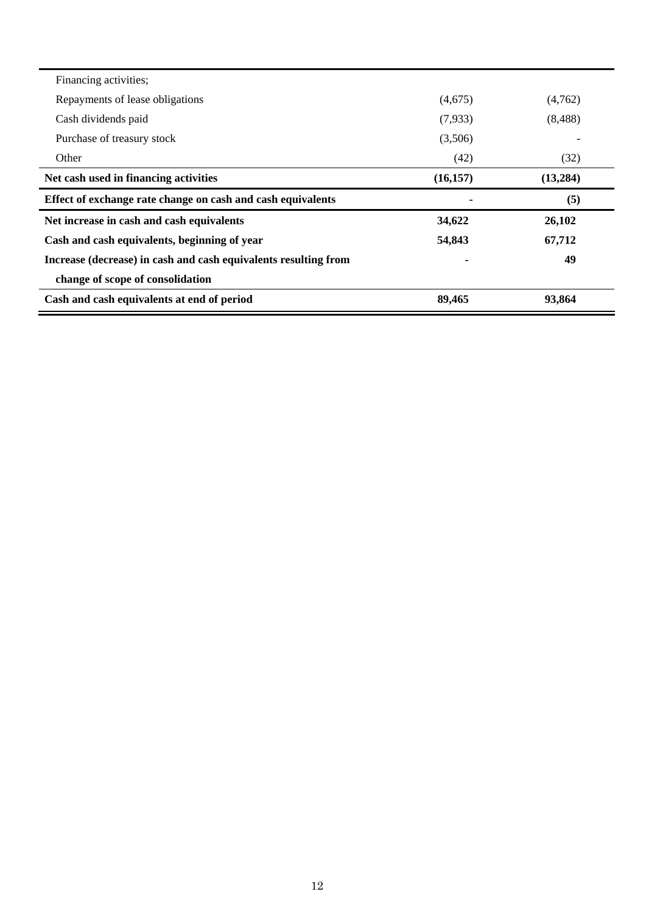| Financing activities;                                           |           |           |
|-----------------------------------------------------------------|-----------|-----------|
| Repayments of lease obligations                                 | (4,675)   | (4,762)   |
| Cash dividends paid                                             | (7,933)   | (8,488)   |
| Purchase of treasury stock                                      | (3,506)   |           |
| Other                                                           | (42)      | (32)      |
| Net cash used in financing activities                           | (16, 157) | (13, 284) |
|                                                                 |           |           |
| Effect of exchange rate change on cash and cash equivalents     |           | (5)       |
| Net increase in cash and cash equivalents                       | 34,622    | 26,102    |
| Cash and cash equivalents, beginning of year                    | 54,843    | 67,712    |
| Increase (decrease) in cash and cash equivalents resulting from |           | 49        |
| change of scope of consolidation                                |           |           |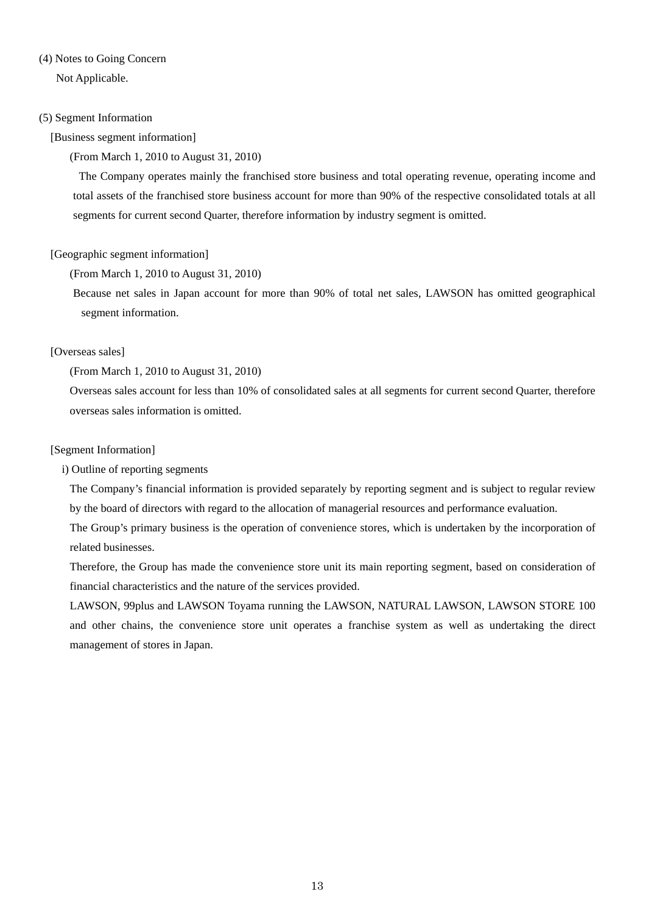# (4) Notes to Going Concern

Not Applicable.

## (5) Segment Information

## [Business segment information]

## (From March 1, 2010 to August 31, 2010)

 The Company operates mainly the franchised store business and total operating revenue, operating income and total assets of the franchised store business account for more than 90% of the respective consolidated totals at all segments for current second Quarter, th*e*refore information by industry segment is omitted.

# [Geographic segment information]

(From March 1, 2010 to August 31, 2010)

Because net sales in Japan account for more than 90% of total net sales, LAWSON has omitted geographical segment information.

# [Overseas sales]

(From March 1, 2010 to August 31, 2010)

Overseas sales account for less than 10% of consolidated sales at all segments for current second Quarter, therefore overseas sales information is omitted.

## [Segment Information]

i) Outline of reporting segments

The Company's financial information is provided separately by reporting segment and is subject to regular review by the board of directors with regard to the allocation of managerial resources and performance evaluation.

The Group's primary business is the operation of convenience stores, which is undertaken by the incorporation of related businesses.

Therefore, the Group has made the convenience store unit its main reporting segment, based on consideration of financial characteristics and the nature of the services provided.

LAWSON, 99plus and LAWSON Toyama running the LAWSON, NATURAL LAWSON, LAWSON STORE 100 and other chains, the convenience store unit operates a franchise system as well as undertaking the direct management of stores in Japan.